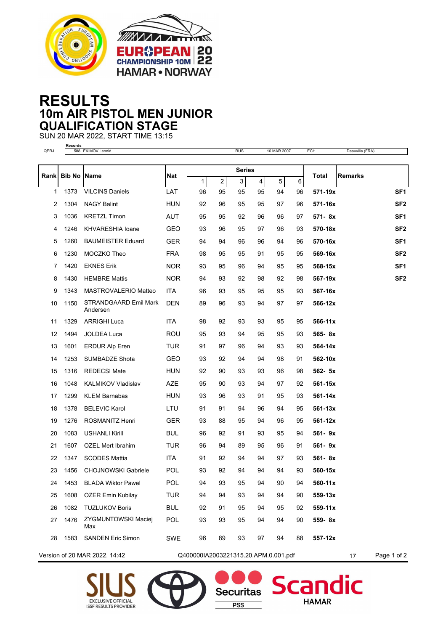



## **RESULTS 10m AIR PISTOL MEN JUNIOR QUALIFICATION STAGE**

SUN 20 MAR 2022, START TIME 13:15 **Records**

| QERJ        |                      | 588 EKIMOV Leonid                 |            |                                      |         | <b>RUS</b> |                               | 16 MAR 2007 |         | ECH       | Deauville (FRA) |                 |
|-------------|----------------------|-----------------------------------|------------|--------------------------------------|---------|------------|-------------------------------|-------------|---------|-----------|-----------------|-----------------|
|             |                      |                                   |            |                                      |         |            |                               |             |         |           |                 |                 |
| <b>Rank</b> | <b>Bib No   Name</b> |                                   | Nat        | <b>Series</b>                        |         |            |                               |             |         | Total     | <b>Remarks</b>  |                 |
| 1           | 1373                 | <b>VILCINS Daniels</b>            | LAT        | 1<br>96                              | 2<br>95 | 3<br>95    | $\overline{\mathbf{4}}$<br>95 | 5<br>94     | 6<br>96 | 571-19x   |                 | SF <sub>1</sub> |
| 2           | 1304                 | <b>NAGY Balint</b>                | <b>HUN</b> | 92                                   | 96      | 95         | 95                            | 97          | 96      | 571-16x   |                 | SF <sub>2</sub> |
|             |                      |                                   |            |                                      |         |            |                               |             |         |           |                 |                 |
| 3           | 1036                 | <b>KRETZL Timon</b>               | AUT        | 95                                   | 95      | 92         | 96                            | 96          | 97      | 571-8x    |                 | SF <sub>1</sub> |
| 4           | 1246                 | <b>KHVARESHIA loane</b>           | GEO        | 93                                   | 96      | 95         | 97                            | 96          | 93      | 570-18x   |                 | SF <sub>2</sub> |
| 5           | 1260                 | <b>BAUMEISTER Eduard</b>          | <b>GER</b> | 94                                   | 94      | 96         | 96                            | 94          | 96      | 570-16x   |                 | SF <sub>1</sub> |
| 6           | 1230                 | MOCZKO Theo                       | <b>FRA</b> | 98                                   | 95      | 95         | 91                            | 95          | 95      | 569-16x   |                 | SF <sub>2</sub> |
| 7           | 1420                 | <b>EKNES Erik</b>                 | NOR.       | 93                                   | 95      | 96         | 94                            | 95          | 95      | 568-15x   |                 | SF <sub>1</sub> |
| 8           | 1430                 | <b>HEMBRE Mattis</b>              | <b>NOR</b> | 94                                   | 93      | 92         | 98                            | 92          | 98      | 567-19x   |                 | SF <sub>2</sub> |
| 9           | 1343                 | MASTROVALERIO Matteo              | ITA        | 96                                   | 93      | 95         | 95                            | 95          | 93      | 567-16x   |                 |                 |
| 10          | 1150                 | STRANDGAARD Emil Mark<br>Andersen | DEN        | 89                                   | 96      | 93         | 94                            | 97          | 97      | 566-12x   |                 |                 |
| 11          | 1329                 | <b>ARRIGHI Luca</b>               | <b>ITA</b> | 98                                   | 92      | 93         | 93                            | 95          | 95      | 566-11x   |                 |                 |
| 12          | 1494                 | JOLDEA Luca                       | ROU        | 95                                   | 93      | 94         | 95                            | 95          | 93      | 565-8x    |                 |                 |
| 13          | 1601                 | <b>ERDUR Alp Eren</b>             | TUR        | 91                                   | 97      | 96         | 94                            | 93          | 93      | 564-14x   |                 |                 |
| 14          | 1253                 | <b>SUMBADZE Shota</b>             | GEO        | 93                                   | 92      | 94         | 94                            | 98          | 91      | 562-10x   |                 |                 |
| 15          | 1316                 | <b>REDECSI Mate</b>               | HUN        | 92                                   | 90      | 93         | 93                            | 96          | 98      | 562- 5x   |                 |                 |
| 16          | 1048                 | <b>KALMIKOV Vladislav</b>         | <b>AZE</b> | 95                                   | 90      | 93         | 94                            | 97          | 92      | 561-15x   |                 |                 |
| 17          | 1299                 | <b>KLEM Barnabas</b>              | <b>HUN</b> | 93                                   | 96      | 93         | 91                            | 95          | 93      | 561-14x   |                 |                 |
| 18          | 1378                 | <b>BELEVIC Karol</b>              | LTU        | 91                                   | 91      | 94         | 96                            | 94          | 95      | 561-13x   |                 |                 |
| 19          | 1276                 | ROSMANITZ Henri                   | GER        | 93                                   | 88      | 95         | 94                            | 96          | 95      | 561-12x   |                 |                 |
| 20          | 1083                 | <b>USHANLI Kirill</b>             | <b>BUL</b> | 96                                   | 92      | 91         | 93                            | 95          | 94      | 561- 9x   |                 |                 |
| 21          | 1607                 | <b>OZEL Mert Ibrahim</b>          | TUR        | 96                                   | 94      | 89         | 95                            | 96          | 91      | 561-9x    |                 |                 |
| 22          | 1347                 | <b>SCODES Mattia</b>              | <b>ITA</b> | 91                                   | 92      | 94         | 94                            | 97          | 93      | 561-8x    |                 |                 |
| 23          | 1456                 | <b>CHOJNOWSKI Gabriele</b>        | POL        | 93                                   | 92      | 94         | 94                            | 94          | 93      | 560-15x   |                 |                 |
| 24          | 1453                 | <b>BLADA Wiktor Pawel</b>         | POL        | 94                                   | 93      | 95         | 94                            | 90          | 94      | 560-11x   |                 |                 |
| 25          | 1608                 | OZER Emin Kubilay                 | <b>TUR</b> | 94                                   | 94      | 93         | 94                            | 94          | 90      | 559-13x   |                 |                 |
| 26          | 1082                 | <b>TUZLUKOV Boris</b>             | <b>BUL</b> | 92                                   | 91      | 95         | 94                            | 95          | 92      | $559-11x$ |                 |                 |
| 27          | 1476                 | <b>ZYGMUNTOWSKI Maciej</b><br>Max | POL        | 93                                   | 93      | 95         | 94                            | 94          | 90      | 559-8x    |                 |                 |
| 28          | 1583                 | <b>SANDEN Eric Simon</b>          | SWE        | 96                                   | 89      | 93         | 97                            | 94          | 88      | 557-12x   |                 |                 |
|             |                      | Version of 20 MAR 2022, 14:42     |            | Q400000IA2003221315.20.APM.0.001.pdf |         |            |                               |             |         |           | 17              | Page 1 of 2     |





**Securitas PSS** 



dic

Scan

**HAMAR**